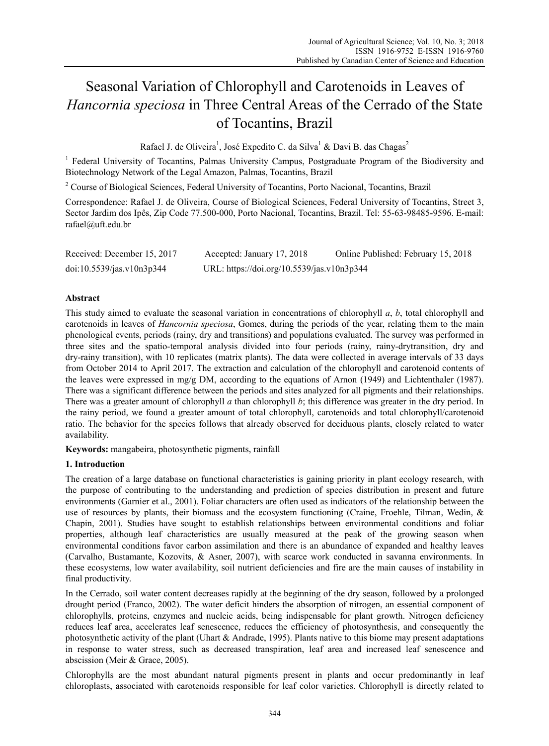# Seasonal Variation of Chlorophyll and Carotenoids in Leaves of *Hancornia speciosa* in Three Central Areas of the Cerrado of the State of Tocantins, Brazil

Rafael J. de Oliveira<sup>1</sup>, José Expedito C. da Silva<sup>1</sup> & Davi B. das Chagas<sup>2</sup>

<sup>1</sup> Federal University of Tocantins, Palmas University Campus, Postgraduate Program of the Biodiversity and Biotechnology Network of the Legal Amazon, Palmas, Tocantins, Brazil

<sup>2</sup> Course of Biological Sciences, Federal University of Tocantins, Porto Nacional, Tocantins, Brazil

Correspondence: Rafael J. de Oliveira, Course of Biological Sciences, Federal University of Tocantins, Street 3, Sector Jardim dos Ipês, Zip Code 77.500-000, Porto Nacional, Tocantins, Brazil. Tel: 55-63-98485-9596. E-mail: rafael@uft.edu.br

| Received: December 15, 2017 | Accepted: January 17, 2018                 | Online Published: February 15, 2018 |  |  |  |
|-----------------------------|--------------------------------------------|-------------------------------------|--|--|--|
| doi:10.5539/jas.v10n3p344   | URL: https://doi.org/10.5539/jas.v10n3p344 |                                     |  |  |  |

# **Abstract**

This study aimed to evaluate the seasonal variation in concentrations of chlorophyll *a*, *b*, total chlorophyll and carotenoids in leaves of *Hancornia speciosa*, Gomes, during the periods of the year, relating them to the main phenological events, periods (rainy, dry and transitions) and populations evaluated. The survey was performed in three sites and the spatio-temporal analysis divided into four periods (rainy, rainy-drytransition, dry and dry-rainy transition), with 10 replicates (matrix plants). The data were collected in average intervals of 33 days from October 2014 to April 2017. The extraction and calculation of the chlorophyll and carotenoid contents of the leaves were expressed in mg/g DM, according to the equations of Arnon (1949) and Lichtenthaler (1987). There was a significant difference between the periods and sites analyzed for all pigments and their relationships. There was a greater amount of chlorophyll *a* than chlorophyll *b*; this difference was greater in the dry period. In the rainy period, we found a greater amount of total chlorophyll, carotenoids and total chlorophyll/carotenoid ratio. The behavior for the species follows that already observed for deciduous plants, closely related to water availability.

**Keywords:** mangabeira, photosynthetic pigments, rainfall

## **1. Introduction**

The creation of a large database on functional characteristics is gaining priority in plant ecology research, with the purpose of contributing to the understanding and prediction of species distribution in present and future environments (Garnier et al., 2001). Foliar characters are often used as indicators of the relationship between the use of resources by plants, their biomass and the ecosystem functioning (Craine, Froehle, Tilman, Wedin, & Chapin, 2001). Studies have sought to establish relationships between environmental conditions and foliar properties, although leaf characteristics are usually measured at the peak of the growing season when environmental conditions favor carbon assimilation and there is an abundance of expanded and healthy leaves (Carvalho, Bustamante, Kozovits, & Asner, 2007), with scarce work conducted in savanna environments. In these ecosystems, low water availability, soil nutrient deficiencies and fire are the main causes of instability in final productivity.

In the Cerrado, soil water content decreases rapidly at the beginning of the dry season, followed by a prolonged drought period (Franco, 2002). The water deficit hinders the absorption of nitrogen, an essential component of chlorophylls, proteins, enzymes and nucleic acids, being indispensable for plant growth. Nitrogen deficiency reduces leaf area, accelerates leaf senescence, reduces the efficiency of photosynthesis, and consequently the photosynthetic activity of the plant (Uhart & Andrade, 1995). Plants native to this biome may present adaptations in response to water stress, such as decreased transpiration, leaf area and increased leaf senescence and abscission (Meir & Grace, 2005).

Chlorophylls are the most abundant natural pigments present in plants and occur predominantly in leaf chloroplasts, associated with carotenoids responsible for leaf color varieties. Chlorophyll is directly related to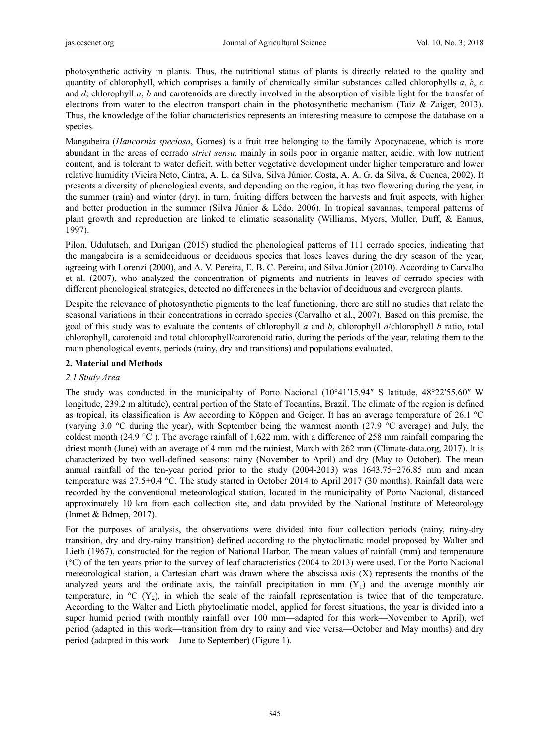photosynthetic activity in plants. Thus, the nutritional status of plants is directly related to the quality and quantity of chlorophyll, which comprises a family of chemically similar substances called chlorophylls *a*, *b*, *c*  and *d*; chlorophyll *a*, *b* and carotenoids are directly involved in the absorption of visible light for the transfer of electrons from water to the electron transport chain in the photosynthetic mechanism (Taiz & Zaiger, 2013). Thus, the knowledge of the foliar characteristics represents an interesting measure to compose the database on a species.

Mangabeira (*Hancornia speciosa*, Gomes) is a fruit tree belonging to the family Apocynaceae, which is more abundant in the areas of cerrado *strict sensu*, mainly in soils poor in organic matter, acidic, with low nutrient content, and is tolerant to water deficit, with better vegetative development under higher temperature and lower relative humidity (Vieira Neto, Cintra, A. L. da Silva, Silva Júnior, Costa, A. A. G. da Silva, & Cuenca, 2002). It presents a diversity of phenological events, and depending on the region, it has two flowering during the year, in the summer (rain) and winter (dry), in turn, fruiting differs between the harvests and fruit aspects, with higher and better production in the summer (Silva Júnior & Lêdo, 2006). In tropical savannas, temporal patterns of plant growth and reproduction are linked to climatic seasonality (Williams, Myers, Muller, Duff, & Eamus, 1997).

Pilon, Udulutsch, and Durigan (2015) studied the phenological patterns of 111 cerrado species, indicating that the mangabeira is a semideciduous or deciduous species that loses leaves during the dry season of the year, agreeing with Lorenzi (2000), and A. V. Pereira, E. B. C. Pereira, and Silva Júnior (2010). According to Carvalho et al. (2007), who analyzed the concentration of pigments and nutrients in leaves of cerrado species with different phenological strategies, detected no differences in the behavior of deciduous and evergreen plants.

Despite the relevance of photosynthetic pigments to the leaf functioning, there are still no studies that relate the seasonal variations in their concentrations in cerrado species (Carvalho et al., 2007). Based on this premise, the goal of this study was to evaluate the contents of chlorophyll *a* and *b*, chlorophyll *a*/chlorophyll *b* ratio, total chlorophyll, carotenoid and total chlorophyll/carotenoid ratio, during the periods of the year, relating them to the main phenological events, periods (rainy, dry and transitions) and populations evaluated.

## **2. Material and Methods**

## *2.1 Study Area*

The study was conducted in the municipality of Porto Nacional (10°41′15.94″ S latitude, 48°22′55.60″ W longitude, 239.2 m altitude), central portion of the State of Tocantins, Brazil. The climate of the region is defined as tropical, its classification is Aw according to Köppen and Geiger. It has an average temperature of 26.1 °C (varying 3.0 °C during the year), with September being the warmest month (27.9 °C average) and July, the coldest month (24.9 °C). The average rainfall of 1,622 mm, with a difference of 258 mm rainfall comparing the driest month (June) with an average of 4 mm and the rainiest, March with 262 mm (Climate-data.org, 2017). It is characterized by two well-defined seasons: rainy (November to April) and dry (May to October). The mean annual rainfall of the ten-year period prior to the study (2004-2013) was 1643.75±276.85 mm and mean temperature was 27.5±0.4 °C. The study started in October 2014 to April 2017 (30 months). Rainfall data were recorded by the conventional meteorological station, located in the municipality of Porto Nacional, distanced approximately 10 km from each collection site, and data provided by the National Institute of Meteorology (Inmet & Bdmep, 2017).

For the purposes of analysis, the observations were divided into four collection periods (rainy, rainy-dry transition, dry and dry-rainy transition) defined according to the phytoclimatic model proposed by Walter and Lieth (1967), constructed for the region of National Harbor. The mean values of rainfall (mm) and temperature (°C) of the ten years prior to the survey of leaf characteristics (2004 to 2013) were used. For the Porto Nacional meteorological station, a Cartesian chart was drawn where the abscissa axis (X) represents the months of the analyzed years and the ordinate axis, the rainfall precipitation in mm  $(Y_1)$  and the average monthly air temperature, in  ${}^{\circ}C$  (Y<sub>2</sub>), in which the scale of the rainfall representation is twice that of the temperature. According to the Walter and Lieth phytoclimatic model, applied for forest situations, the year is divided into a super humid period (with monthly rainfall over 100 mm—adapted for this work—November to April), wet period (adapted in this work—transition from dry to rainy and vice versa—October and May months) and dry period (adapted in this work—June to September) (Figure 1).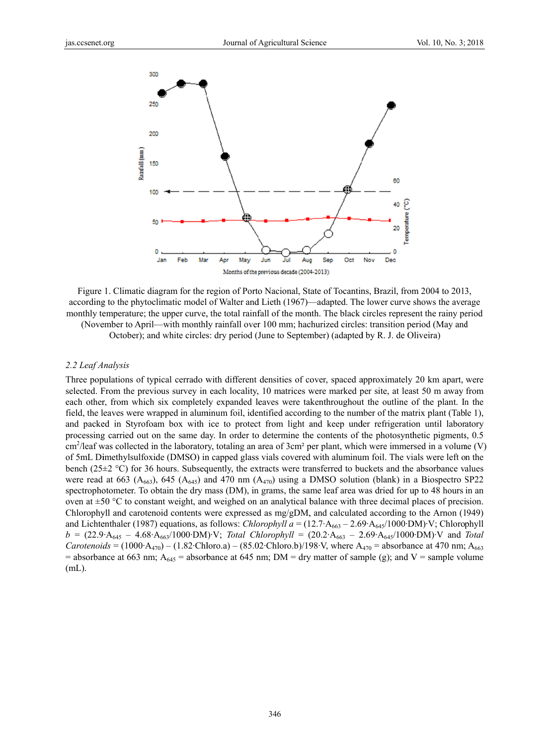

Figure 1. Climatic diagram for the region of Porto Nacional, State of Tocantins, Brazil, from 2004 to 2013, according to the phytoclimatic model of Walter and Lieth (1967)—adapted. The lower curve shows the average monthly temperature; the upper curve, the total rainfall of the month. The black circles represent the rainy period (November to April—with monthly rainfall over 100 mm; hachurized circles: transition period (May and

October); and white circles: dry period (June to September) (adapted by R. J. de Oliveira)

#### *2.2 Leaf A nalysis*

(November to April—with monthly rainfall over 100 mm; hachurized circles: transition period (May and October); and white circles: dry period (June to September) (adapted by R. J. de Oliveira)<br>2.2 Leaf Analysis<br>Three popula selected. From the previous survey in each locality, 10 matrices were marked per site, at least 50 m away from each other, from which six completely expanded leaves were takenthroughout the outline of the plant. In the field, the leaves were wrapped in aluminum foil, identified according to the number of the matrix plant (Table 1), and packed in Styrofoam box with ice to protect from light and keep under refrigeration until laboratory processing carried out on the same day. In order to determine the contents of the photosynthetic pigments, 0.5  $\text{cm}^2$ /leaf was collected in the laboratory, totaling an area of 3cm<sup>2</sup> per plant, which were immersed in a volume (V) of 5mL Dimethylsulfoxide (DMSO) in capped glass vials covered with aluminum foil. The vials were left on the bench ( $25\pm2$  °C) for 36 hours. Subsequently, the extracts were transferred to buckets and the absorbance values were read at 663 ( $A_{663}$ ), 645 ( $A_{645}$ ) and 470 nm ( $A_{470}$ ) using a DMSO solution (blank) in a Biospectro SP22 spectrophotometer. To obtain the dry mass (DM), in grams, the same leaf area was dried for up to 48 hours in an oven at  $\pm 50$  °C to constant weight, and weighed on an analytical balance with three decimal places of precision. Chlorophyll and carotenoid contents were expressed as mg/gDM, and calculated according to the Arnon (1949) and Lichtenthaler (1987) equations, as follows: *Chlorophyll a* = (12.7·A<sub>663</sub> – 2.69·A<sub>645</sub>/1000·DM)·V; Chlorophyll  $b = (22.9 \cdot A_{645} - 4.68 \cdot A_{663}/1000 \cdot DM) \cdot V$ ; *Total Chlorophyll* =  $(20.2 \cdot A_{663} - 2.69 \cdot A_{645}/1000 \cdot DM) \cdot V$  and *Total Carotenoids* = (1000·A<sub>470</sub>) – (1.82·Chloro.a) – (85.02·Chloro.b)/198·V, where A<sub>470</sub> = absorbance at 470 nm; A<sub>663</sub> = absorbance at 663 nm;  $A_{645}$  = absorbance at 645 nm; DM = dry matter of sample (g); and V = sample volume (mL).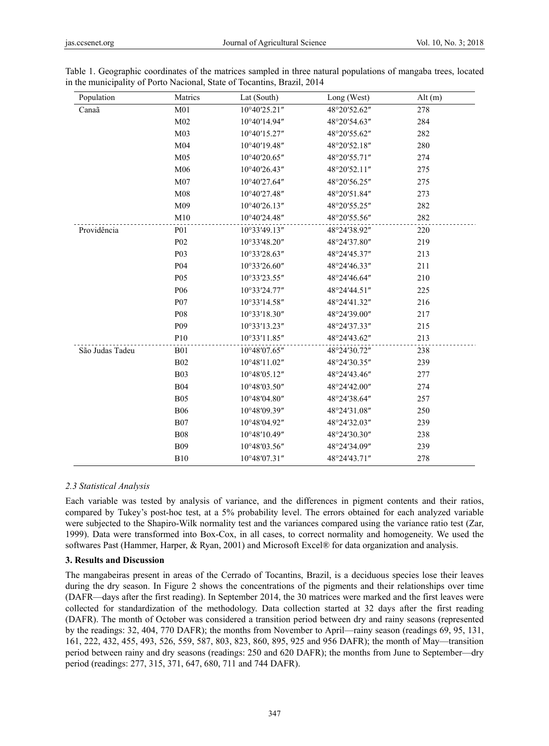| Population      | Matrics          | Lat (South)                                 | Long (West)  | Alt $(m)$ |
|-----------------|------------------|---------------------------------------------|--------------|-----------|
| Canaã           | M <sub>01</sub>  | 10°40'25.21"                                | 48°20'52.62" | 278       |
|                 | M <sub>02</sub>  | 10°40'14.94"                                | 48°20'54.63" | 284       |
|                 | M <sub>03</sub>  | 10°40'15.27"                                | 48°20'55.62" | 282       |
|                 | M <sub>04</sub>  | 10°40'19.48"                                | 48°20'52.18" | 280       |
|                 | M <sub>05</sub>  | 10°40'20.65"                                | 48°20'55.71" | 274       |
|                 | M06              | 10°40'26.43"                                | 48°20'52.11" | 275       |
|                 | M07              | 10°40'27.64"                                | 48°20'56.25" | 275       |
|                 | M <sub>08</sub>  | 10°40'27.48"                                | 48°20'51.84" | 273       |
|                 | M09              | $10^{\circ}40^{\prime}26.13^{\prime\prime}$ | 48°20'55.25" | 282       |
|                 | M10              | 10°40'24.48"                                | 48°20'55.56" | 282       |
| Providência     | <b>P01</b>       | 10°33'49.13"                                | 48°24'38.92" | 220       |
|                 | P <sub>02</sub>  | 10°33'48.20"                                | 48°24'37.80" | 219       |
|                 | P <sub>0</sub> 3 | 10°33'28.63"                                | 48°24'45.37" | 213       |
|                 | P <sub>04</sub>  | 10°33'26.60"                                | 48°24'46.33" | 211       |
|                 | P <sub>05</sub>  | 10°33'23.55"                                | 48°24'46.64" | 210       |
|                 | P <sub>06</sub>  | 10°33'24.77"                                | 48°24'44.51" | 225       |
|                 | <b>P07</b>       | 10°33'14.58"                                | 48°24'41.32" | 216       |
|                 | P08              | 10°33'18.30"                                | 48°24'39.00" | 217       |
|                 | P <sub>09</sub>  | 10°33'13.23"                                | 48°24'37.33" | 215       |
|                 | P10              | 10°33'11.85"                                | 48°24'43.62" | 213       |
| São Judas Tadeu | <b>B01</b>       | 10°48'07.65"                                | 48°24'30.72" | 238       |
|                 | <b>B02</b>       | 10°48'11.02"                                | 48°24'30.35" | 239       |
|                 | <b>B03</b>       | 10°48'05.12"                                | 48°24'43.46" | 277       |
|                 | <b>B04</b>       | 10°48'03.50"                                | 48°24'42.00" | 274       |
|                 | <b>B05</b>       | 10°48'04.80"                                | 48°24'38.64" | 257       |
|                 | <b>B06</b>       | 10°48'09.39"                                | 48°24'31.08" | 250       |
|                 | <b>B07</b>       | 10°48'04.92"                                | 48°24'32.03" | 239       |
|                 | <b>B08</b>       | 10°48'10.49"                                | 48°24'30.30" | 238       |
|                 | <b>B09</b>       | 10°48'03.56"                                | 48°24'34.09" | 239       |
|                 | <b>B10</b>       | 10°48'07.31"                                | 48°24'43.71" | 278       |

Table 1. Geographic coordinates of the matrices sampled in three natural populations of mangaba trees, located in the municipality of Porto Nacional, State of Tocantins, Brazil, 2014

## *2.3 Statistical Analysis*

Each variable was tested by analysis of variance, and the differences in pigment contents and their ratios, compared by Tukey's post-hoc test, at a 5% probability level. The errors obtained for each analyzed variable were subjected to the Shapiro-Wilk normality test and the variances compared using the variance ratio test (Zar, 1999). Data were transformed into Box-Cox, in all cases, to correct normality and homogeneity. We used the softwares Past (Hammer, Harper, & Ryan, 2001) and Microsoft Excel® for data organization and analysis.

### **3. Results and Discussion**

The mangabeiras present in areas of the Cerrado of Tocantins, Brazil, is a deciduous species lose their leaves during the dry season. In Figure 2 shows the concentrations of the pigments and their relationships over time (DAFR—days after the first reading). In September 2014, the 30 matrices were marked and the first leaves were collected for standardization of the methodology. Data collection started at 32 days after the first reading (DAFR). The month of October was considered a transition period between dry and rainy seasons (represented by the readings: 32, 404, 770 DAFR); the months from November to April—rainy season (readings 69, 95, 131, 161, 222, 432, 455, 493, 526, 559, 587, 803, 823, 860, 895, 925 and 956 DAFR); the month of May—transition period between rainy and dry seasons (readings: 250 and 620 DAFR); the months from June to September—dry period (readings: 277, 315, 371, 647, 680, 711 and 744 DAFR).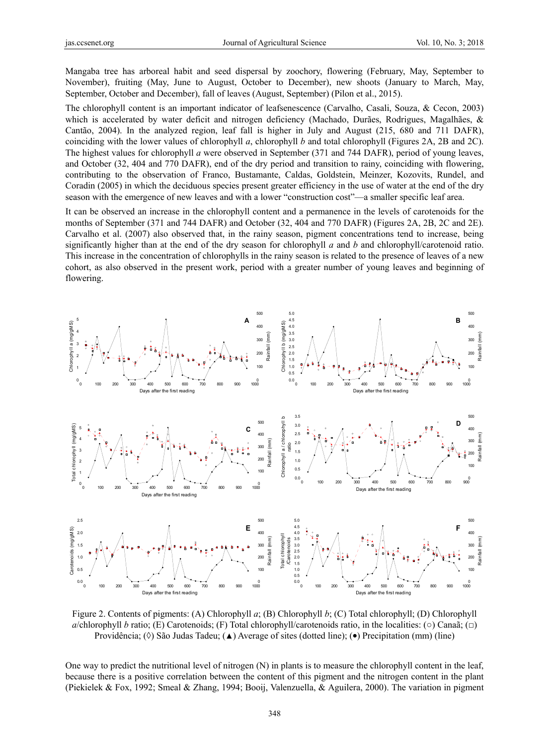Mangaba tree has arboreal habit and seed dispersal by zoochory, flowering (February, May, September to November), fruiting (May, June to August, October to December), new shoots (January to March, May, September, October and December), fall of leaves (August, September) (Pilon et al., 2015).

The chlorophyll content is an important indicator of leafsenescence (Carvalho, Casali, Souza, & Cecon, 2003) which is accelerated by water deficit and nitrogen deficiency (Machado, Durães, Rodrigues, Magalhães, & Cantão, 2004). In the analyzed region, leaf fall is higher in July and August (215, 680 and 711 DAFR), coinciding with the lower values of chlorophyll *a*, chlorophyll *b* and total chlorophyll (Figures 2A, 2B and 2C). The highest values for chlorophyll *a* were observed in September (371 and 744 DAFR), period of young leaves, and October (32, 404 and 770 DAFR), end of the dry period and transition to rainy, coinciding with flowering, contributing to the observation of Franco, Bustamante, Caldas, Goldstein, Meinzer, Kozovits, Rundel, and Coradin (2005) in which the deciduous species present greater efficiency in the use of water at the end of the dry season with the emergence of new leaves and with a lower "construction cost"—a smaller specific leaf area.

It can be observed an increase in the chlorophyll content and a permanence in the levels of carotenoids for the months of September (371 and 744 DAFR) and October (32, 404 and 770 DAFR) (Figures 2A, 2B, 2C and 2E). Carvalho et al. (2007) also observed that, in the rainy season, pigment concentrations tend to increase, being significantly higher than at the end of the dry season for chlorophyll *a* and *b* and chlorophyll/carotenoid ratio. This increase in the concentration of chlorophylls in the rainy season is related to the presence of leaves of a new cohort, as also observed in the present work, period with a greater number of young leaves and beginning of flowering.



Figure 2. Contents of pigments: (A) Chlorophyll *a*; (B) Chlorophyll *b*; (C) Total chlorophyll; (D) Chlorophyll *a*/chlorophyll *b* ratio; (E) Carotenoids; (F) Total chlorophyll/carotenoids ratio, in the localities: (○) Canaã; (□) Providência; ( $\Diamond$ ) São Judas Tadeu; ( $\Diamond$ ) Average of sites (dotted line); ( $\bullet$ ) Precipitation (mm) (line)

One way to predict the nutritional level of nitrogen (N) in plants is to measure the chlorophyll content in the leaf, because there is a positive correlation between the content of this pigment and the nitrogen content in the plant (Piekielek & Fox, 1992; Smeal & Zhang, 1994; Booij, Valenzuella, & Aguilera, 2000). The variation in pigment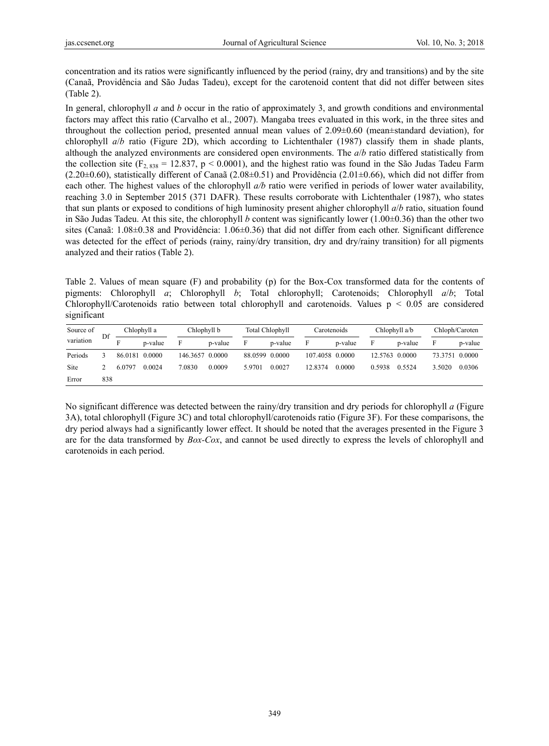concentration and its ratios were significantly influenced by the period (rainy, dry and transitions) and by the site (Canaã, Providência and São Judas Tadeu), except for the carotenoid content that did not differ between sites (Table 2).

In general, chlorophyll *a* and *b* occur in the ratio of approximately 3, and growth conditions and environmental factors may affect this ratio (Carvalho et al., 2007). Mangaba trees evaluated in this work, in the three sites and throughout the collection period, presented annual mean values of  $2.09\pm0.60$  (mean $\pm$ standard deviation), for chlorophyll *a*/*b* ratio (Figure 2D), which according to Lichtenthaler (1987) classify them in shade plants, although the analyzed environments are considered open environments. The *a*/*b* ratio differed statistically from the collection site ( $F_{2, 838}$  = 12.837, p < 0.0001), and the highest ratio was found in the São Judas Tadeu Farm  $(2.20\pm0.60)$ , statistically different of Canaã (2.08 $\pm$ 0.51) and Providência (2.01 $\pm$ 0.66), which did not differ from each other. The highest values of the chlorophyll *a/b* ratio were verified in periods of lower water availability, reaching 3.0 in September 2015 (371 DAFR). These results corroborate with Lichtenthaler (1987), who states that sun plants or exposed to conditions of high luminosity present ahigher chlorophyll *a*/*b* ratio, situation found in São Judas Tadeu. At this site, the chlorophyll *b* content was significantly lower (1.00±0.36) than the other two sites (Canaã: 1.08±0.38 and Providência: 1.06±0.36) that did not differ from each other. Significant difference was detected for the effect of periods (rainy, rainy/dry transition, dry and dry/rainy transition) for all pigments analyzed and their ratios (Table 2).

Table 2. Values of mean square (F) and probability (p) for the Box-Cox transformed data for the contents of pigments: Chlorophyll *a*; Chlorophyll *b*; Total chlorophyll; Carotenoids; Chlorophyll *a*/*b*; Total Chlorophyll/Carotenoids ratio between total chlorophyll and carotenoids. Values  $p < 0.05$  are considered significant

| Source of<br>variation | Df  |                | Chlophyll a |                 | Chlophyll b |                | <b>Total Chlophyll</b> |                 | Carotenoids |                | Chlophyll a/b |                | Chloph/Caroten |  |
|------------------------|-----|----------------|-------------|-----------------|-------------|----------------|------------------------|-----------------|-------------|----------------|---------------|----------------|----------------|--|
|                        |     |                | p-value     | F               | p-value     | F              | p-value                | F               | p-value     | F              | p-value       | F              | p-value        |  |
| Periods                |     | 86.0181 0.0000 |             | 146.3657 0.0000 |             | 88.0599 0.0000 |                        | 107.4058 0.0000 |             | 12.5763 0.0000 |               | 73.3751 0.0000 |                |  |
| <b>Site</b>            |     | 6.0797         | 0.0024      | 7.0830          | 0.0009      | 5.9701         | 0.0027                 | 12.8374         | 0.0000      | 0.5938         | 0.5524        | 3.5020         | 0.0306         |  |
| Error                  | 838 |                |             |                 |             |                |                        |                 |             |                |               |                |                |  |

No significant difference was detected between the rainy/dry transition and dry periods for chlorophyll *a* (Figure 3A), total chlorophyll (Figure 3C) and total chlorophyll/carotenoids ratio (Figure 3F). For these comparisons, the dry period always had a significantly lower effect. It should be noted that the averages presented in the Figure 3 are for the data transformed by *Box-Cox*, and cannot be used directly to express the levels of chlorophyll and carotenoids in each period.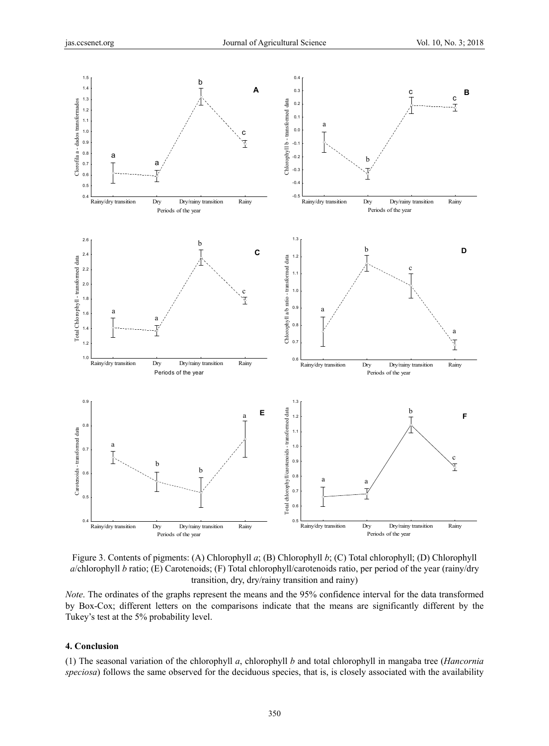

Figure 3. Contents of pigments: (A) Chlorophyll *a*; (B) Chlorophyll *b*; (C) Total chlorophyll; (D) Chlorophyll *a*/chlorophyll *b* ratio; (E) Carotenoids; (F) Total chlorophyll/carotenoids ratio, per period of the year (rainy/dry transition, dry, dry/rainy transition and rainy)

*Note*. The ordinates of the graphs represent the means and the 95% confidence interval for the data transformed by Box-Cox; different letters on the comparisons indicate that the means are significantly different by the Tukey's test at the 5% probability level.

### **4. Conclusion**

(1) The seasonal variation of the chlorophyll *a*, chlorophyll *b* and total chlorophyll in mangaba tree (*Hancornia speciosa*) follows the same observed for the deciduous species, that is, is closely associated with the availability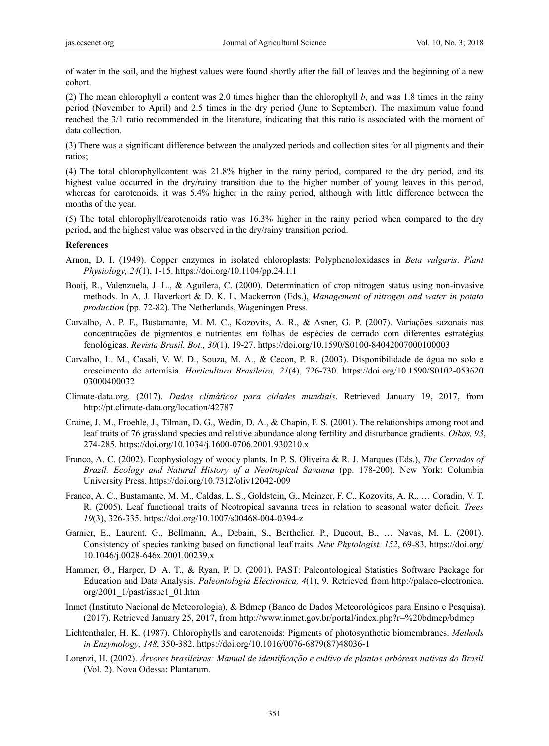of water in the soil, and the highest values were found shortly after the fall of leaves and the beginning of a new cohort.

(2) The mean chlorophyll *a* content was 2.0 times higher than the chlorophyll *b*, and was 1.8 times in the rainy period (November to April) and 2.5 times in the dry period (June to September). The maximum value found reached the 3/1 ratio recommended in the literature, indicating that this ratio is associated with the moment of data collection.

(3) There was a significant difference between the analyzed periods and collection sites for all pigments and their ratios;

(4) The total chlorophyllcontent was 21.8% higher in the rainy period, compared to the dry period, and its highest value occurred in the dry/rainy transition due to the higher number of young leaves in this period, whereas for carotenoids, it was 5.4% higher in the rainy period, although with little difference between the months of the year.

(5) The total chlorophyll/carotenoids ratio was 16.3% higher in the rainy period when compared to the dry period, and the highest value was observed in the dry/rainy transition period.

#### **References**

- Arnon, D. I. (1949). Copper enzymes in isolated chloroplasts: Polyphenoloxidases in *Beta vulgaris*. *Plant Physiology, 24*(1), 1-15. https://doi.org/10.1104/pp.24.1.1
- Booij, R., Valenzuela, J. L., & Aguilera, C. (2000). Determination of crop nitrogen status using non-invasive methods. In A. J. Haverkort & D. K. L. Mackerron (Eds.), *Management of nitrogen and water in potato production* (pp. 72-82). The Netherlands, Wageningen Press.
- Carvalho, A. P. F., Bustamante, M. M. C., Kozovits, A. R., & Asner, G. P. (2007). Variações sazonais nas concentrações de pigmentos e nutrientes em folhas de espécies de cerrado com diferentes estratégias fenológicas. *Revista Brasil. Bot., 30*(1), 19-27. https://doi.org/10.1590/S0100-84042007000100003
- Carvalho, L. M., Casali, V. W. D., Souza, M. A., & Cecon, P. R. (2003). Disponibilidade de água no solo e crescimento de artemísia. *Horticultura Brasileira, 21*(4), 726-730. https://doi.org/10.1590/S0102-053620 03000400032
- Climate-data.org. (2017). *Dados climáticos para cidades mundiais*. Retrieved January 19, 2017, from http://pt.climate-data.org/location/42787
- Craine, J. M., Froehle, J., Tilman, D. G., Wedin, D. A., & Chapin, F. S. (2001). The relationships among root and leaf traits of 76 grassland species and relative abundance along fertility and disturbance gradients. *Oikos, 93*, 274-285. https://doi.org/10.1034/j.1600-0706.2001.930210.x
- Franco, A. C. (2002). Ecophysiology of woody plants. In P. S. Oliveira & R. J. Marques (Eds.), *The Cerrados of Brazil. Ecology and Natural History of a Neotropical Savanna* (pp. 178-200). New York: Columbia University Press. https://doi.org/10.7312/oliv12042-009
- Franco, A. C., Bustamante, M. M., Caldas, L. S., Goldstein, G., Meinzer, F. C., Kozovits, A. R., … Coradin, V. T. R. (2005). Leaf functional traits of Neotropical savanna trees in relation to seasonal water deficit*. Trees 19*(3), 326-335. https://doi.org/10.1007/s00468-004-0394-z
- Garnier, E., Laurent, G., Bellmann, A., Debain, S., Berthelier, P., Ducout, B., … Navas, M. L. (2001). Consistency of species ranking based on functional leaf traits. *New Phytologist, 152*, 69-83. https://doi.org/ 10.1046/j.0028-646x.2001.00239.x
- Hammer, Ø., Harper, D. A. T., & Ryan, P. D. (2001). PAST: Paleontological Statistics Software Package for Education and Data Analysis. *Paleontologia Electronica, 4*(1), 9. Retrieved from http://palaeo-electronica. org/2001\_1/past/issue1\_01.htm
- Inmet (Instituto Nacional de Meteorologia), & Bdmep (Banco de Dados Meteorológicos para Ensino e Pesquisa). (2017). Retrieved January 25, 2017, from http://www.inmet.gov.br/portal/index.php?r=%20bdmep/bdmep
- Lichtenthaler, H. K. (1987). Chlorophylls and carotenoids: Pigments of photosynthetic biomembranes. *Methods in Enzymology, 148*, 350-382. https://doi.org/10.1016/0076-6879(87)48036-1
- Lorenzi, H. (2002). *Árvores brasileiras: Manual de identificação e cultivo de plantas arbóreas nativas do Brasil* (Vol. 2). Nova Odessa: Plantarum.